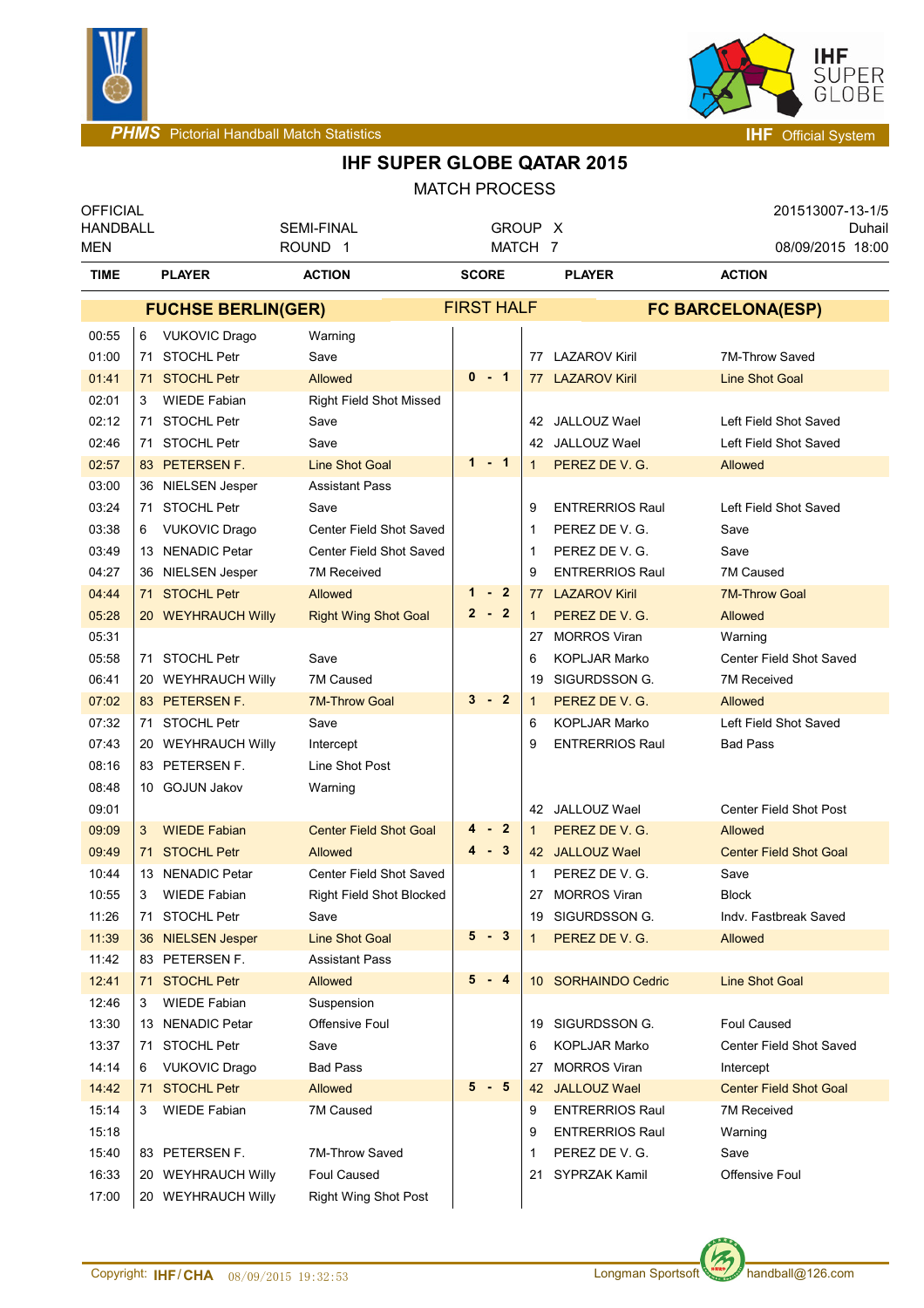



# **IHF SUPER GLOBE QATAR 2015**

| <b>OFFICIAL</b><br><b>HANDBALL</b><br>MEN |                           | <b>SEMI-FINAL</b><br>ROUND <sub>1</sub> | GROUP X<br>MATCH 7             |              |                   | 201513007-13-1/5<br>Duhail<br>08/09/2015 18:00 |                                            |  |  |
|-------------------------------------------|---------------------------|-----------------------------------------|--------------------------------|--------------|-------------------|------------------------------------------------|--------------------------------------------|--|--|
| <b>TIME</b>                               |                           | <b>PLAYER</b>                           | <b>ACTION</b>                  | <b>SCORE</b> |                   | <b>PLAYER</b>                                  | <b>ACTION</b>                              |  |  |
|                                           | <b>FUCHSE BERLIN(GER)</b> |                                         |                                |              | <b>FIRST HALF</b> | <b>FC BARCELONA(ESP)</b>                       |                                            |  |  |
| 00:55                                     | 6                         | <b>VUKOVIC Drago</b>                    | Warning                        |              |                   |                                                |                                            |  |  |
| 01:00                                     |                           | 71 STOCHL Petr                          | Save                           |              |                   | 77 LAZAROV Kiril                               | 7M-Throw Saved                             |  |  |
| 01:41                                     |                           | 71 STOCHL Petr                          | <b>Allowed</b>                 | $0 - 1$      |                   | 77 LAZAROV Kiril                               | <b>Line Shot Goal</b>                      |  |  |
| 02:01                                     | 3                         | <b>WIEDE Fabian</b>                     | <b>Right Field Shot Missed</b> |              |                   |                                                |                                            |  |  |
| 02:12                                     |                           | 71 STOCHL Petr                          | Save                           |              |                   | 42 JALLOUZ Wael                                | Left Field Shot Saved                      |  |  |
| 02:46                                     | 71                        | <b>STOCHL Petr</b>                      | Save                           |              |                   | 42 JALLOUZ Wael                                | Left Field Shot Saved                      |  |  |
| 02:57                                     |                           | 83 PETERSEN F.                          | <b>Line Shot Goal</b>          | $1 - 1$      | $\mathbf{1}$      | PEREZ DE V. G.                                 | Allowed                                    |  |  |
| 03:00                                     |                           | 36 NIELSEN Jesper                       | <b>Assistant Pass</b>          |              |                   |                                                |                                            |  |  |
| 03:24                                     |                           | 71 STOCHL Petr                          | Save                           |              | 9                 | <b>ENTRERRIOS Raul</b>                         | Left Field Shot Saved                      |  |  |
| 03:38                                     | 6                         | <b>VUKOVIC Drago</b>                    | Center Field Shot Saved        |              | 1                 | PEREZ DE V. G.                                 | Save                                       |  |  |
| 03:49                                     |                           | 13 NENADIC Petar                        | Center Field Shot Saved        |              | -1                | PEREZ DE V. G.                                 | Save                                       |  |  |
| 04:27                                     |                           | 36 NIELSEN Jesper                       | 7M Received                    |              | 9                 | <b>ENTRERRIOS Raul</b>                         | 7M Caused                                  |  |  |
| 04:44                                     |                           | 71 STOCHL Petr                          | <b>Allowed</b>                 | $1 - 2$      | 77                | <b>LAZAROV Kiril</b>                           | <b>7M-Throw Goal</b>                       |  |  |
| 05:28                                     |                           | 20 WEYHRAUCH Willy                      | <b>Right Wing Shot Goal</b>    | $2 - 2$      | $\mathbf{1}$      | PEREZ DE V. G.                                 | Allowed                                    |  |  |
| 05:31                                     |                           |                                         |                                |              | 27                | <b>MORROS Viran</b>                            | Warning                                    |  |  |
| 05:58                                     |                           | 71 STOCHL Petr                          | Save                           |              | 6                 | KOPLJAR Marko                                  | Center Field Shot Saved                    |  |  |
| 06:41                                     |                           | 20 WEYHRAUCH Willy                      | 7M Caused                      |              | 19                | SIGURDSSON G.                                  | <b>7M Received</b>                         |  |  |
| 07:02                                     |                           | 83 PETERSEN F.                          | <b>7M-Throw Goal</b>           | $3 - 2$      | $\mathbf 1$       | PEREZ DE V. G.                                 | Allowed                                    |  |  |
| 07:32                                     |                           | 71 STOCHL Petr                          | Save                           |              | 6                 | <b>KOPLJAR Marko</b>                           | Left Field Shot Saved                      |  |  |
| 07:43                                     |                           | 20 WEYHRAUCH Willy                      | Intercept                      |              | 9                 | <b>ENTRERRIOS Raul</b>                         | <b>Bad Pass</b>                            |  |  |
| 08:16                                     |                           | 83 PETERSEN F.                          | Line Shot Post                 |              |                   |                                                |                                            |  |  |
| 08:48                                     |                           | 10 GOJUN Jakov                          | Warning                        |              |                   |                                                |                                            |  |  |
| 09:01                                     |                           |                                         |                                |              |                   | 42 JALLOUZ Wael                                | <b>Center Field Shot Post</b>              |  |  |
| 09:09                                     | 3                         | <b>WIEDE Fabian</b>                     | <b>Center Field Shot Goal</b>  | 4<br>- 2     | $\mathbf{1}$      | PEREZ DE V. G.                                 | Allowed                                    |  |  |
| 09:49                                     |                           | 71 STOCHL Petr                          | Allowed                        | $4 - 3$      |                   | 42 JALLOUZ Wael                                | <b>Center Field Shot Goal</b>              |  |  |
| 10:44                                     |                           | 13 NENADIC Petar                        | Center Field Shot Saved        |              | 1                 | PEREZ DE V. G.                                 | Save                                       |  |  |
| 10:55                                     |                           | 3 WIEDE Fabian                          | Right Field Shot Blocked       |              |                   | 27 MORROS Viran                                | <b>Block</b>                               |  |  |
| 11:26                                     |                           | 71 STOCHL Petr                          | Save                           | $5 - 3$      |                   | 19 SIGURDSSON G.                               | Indy. Fastbreak Saved                      |  |  |
| 11:39                                     |                           | 36 NIELSEN Jesper                       | <b>Line Shot Goal</b>          |              | 1                 | PEREZ DE V. G.                                 | Allowed                                    |  |  |
| 11:42                                     |                           | 83 PETERSEN F.<br>71 STOCHL Petr        | <b>Assistant Pass</b>          | $5 - 4$      |                   |                                                |                                            |  |  |
| 12:41<br>12:46                            | 3                         | <b>WIEDE Fabian</b>                     | Allowed<br>Suspension          |              |                   | 10 SORHAINDO Cedric                            | <b>Line Shot Goal</b>                      |  |  |
| 13:30                                     |                           | 13 NENADIC Petar                        | Offensive Foul                 |              |                   | 19 SIGURDSSON G.                               | Foul Caused                                |  |  |
| 13:37                                     |                           | 71 STOCHL Petr                          | Save                           |              | 6                 | <b>KOPLJAR Marko</b>                           | Center Field Shot Saved                    |  |  |
| 14:14                                     |                           | <b>VUKOVIC Drago</b>                    | <b>Bad Pass</b>                |              |                   | <b>MORROS Viran</b>                            |                                            |  |  |
| 14:42                                     | 6.                        | 71 STOCHL Petr                          | Allowed                        | $5 - 5$      | 27                | 42 JALLOUZ Wael                                | Intercept<br><b>Center Field Shot Goal</b> |  |  |
| 15:14                                     | 3                         | <b>WIEDE Fabian</b>                     | 7M Caused                      |              | 9                 | <b>ENTRERRIOS Raul</b>                         | 7M Received                                |  |  |
| 15:18                                     |                           |                                         |                                |              | 9                 | <b>ENTRERRIOS Raul</b>                         | Warning                                    |  |  |
| 15:40                                     |                           | 83 PETERSEN F.                          | 7M-Throw Saved                 |              | 1                 | PEREZ DE V. G.                                 | Save                                       |  |  |
| 16:33                                     |                           | 20 WEYHRAUCH Willy                      | Foul Caused                    |              | 21                | <b>SYPRZAK Kamil</b>                           | Offensive Foul                             |  |  |
| 17:00                                     |                           | 20 WEYHRAUCH Willy                      | <b>Right Wing Shot Post</b>    |              |                   |                                                |                                            |  |  |
|                                           |                           |                                         |                                |              |                   |                                                |                                            |  |  |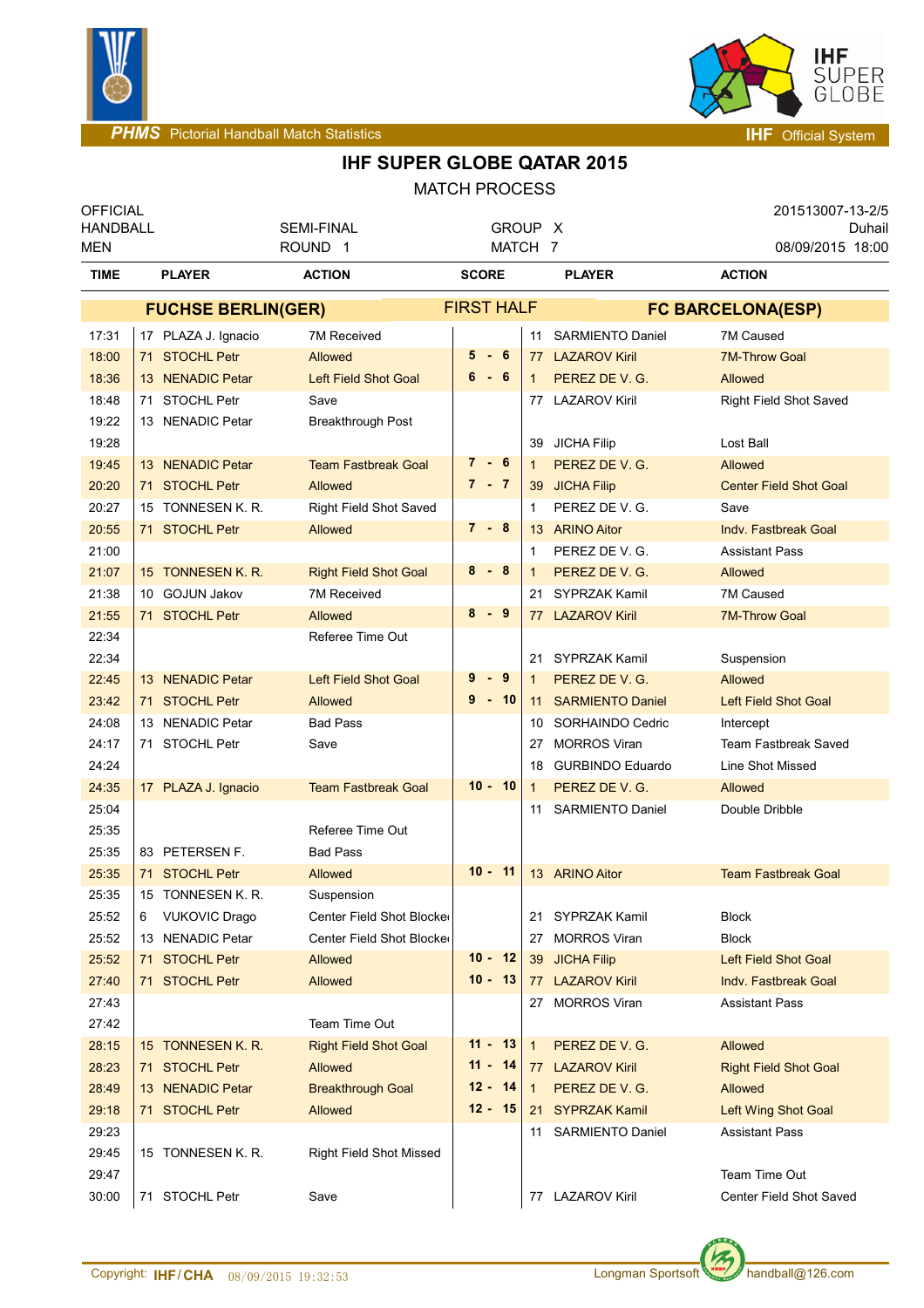



### **IHF SUPER GLOBE QATAR 2015**

| <b>OFFICIAL</b><br><b>HANDBALL</b><br>MEN |                           |                      | <b>SEMI-FINAL</b><br>ROUND <sub>1</sub> | GROUP X<br>MATCH 7 |                 |                   |                          | 201513007-13-2/5<br>Duhail<br>08/09/2015 18:00 |  |  |
|-------------------------------------------|---------------------------|----------------------|-----------------------------------------|--------------------|-----------------|-------------------|--------------------------|------------------------------------------------|--|--|
| <b>TIME</b>                               |                           | <b>PLAYER</b>        | <b>ACTION</b>                           | <b>SCORE</b>       |                 |                   | <b>PLAYER</b>            | <b>ACTION</b>                                  |  |  |
|                                           | <b>FUCHSE BERLIN(GER)</b> |                      |                                         |                    |                 | <b>FIRST HALF</b> | <b>FC BARCELONA(ESP)</b> |                                                |  |  |
| 17:31                                     |                           | 17 PLAZA J. Ignacio  | <b>7M Received</b>                      |                    |                 |                   | 11 SARMIENTO Daniel      | 7M Caused                                      |  |  |
| 18:00                                     |                           | 71 STOCHL Petr       | Allowed                                 | $5 - 6$            |                 |                   | 77 LAZAROV Kiril         | <b>7M-Throw Goal</b>                           |  |  |
| 18:36                                     |                           | 13 NENADIC Petar     | <b>Left Field Shot Goal</b>             | 6-6                |                 | 1                 | PEREZ DE V. G.           | Allowed                                        |  |  |
| 18:48                                     |                           | 71 STOCHL Petr       | Save                                    |                    |                 |                   | 77 LAZAROV Kiril         | Right Field Shot Saved                         |  |  |
| 19:22                                     |                           | 13 NENADIC Petar     | Breakthrough Post                       |                    |                 |                   |                          |                                                |  |  |
| 19:28                                     |                           |                      |                                         |                    |                 | 39                | <b>JICHA Filip</b>       | Lost Ball                                      |  |  |
| 19:45                                     |                           | 13 NENADIC Petar     | <b>Team Fastbreak Goal</b>              | 7-6                |                 | 1                 | PEREZ DE V. G.           | Allowed                                        |  |  |
| 20:20                                     |                           | 71 STOCHL Petr       | Allowed                                 | $7 - 7$            |                 |                   | 39 JICHA Filip           | <b>Center Field Shot Goal</b>                  |  |  |
| 20:27                                     |                           | 15 TONNESEN K. R.    | <b>Right Field Shot Saved</b>           |                    |                 | 1                 | PEREZ DE V. G.           | Save                                           |  |  |
| 20:55                                     |                           | 71 STOCHL Petr       | Allowed                                 | 7 - 8              |                 |                   | 13 ARINO Aitor           | Indy. Fastbreak Goal                           |  |  |
| 21:00                                     |                           |                      |                                         |                    |                 | 1                 | PEREZ DE V. G.           | <b>Assistant Pass</b>                          |  |  |
| 21:07                                     |                           | 15 TONNESEN K. R.    | <b>Right Field Shot Goal</b>            | $8 - 8$            |                 | 1                 | PEREZ DE V. G.           | Allowed                                        |  |  |
| 21:38                                     |                           | 10 GOJUN Jakov       | <b>7M Received</b>                      |                    |                 | 21                | <b>SYPRZAK Kamil</b>     | 7M Caused                                      |  |  |
| 21:55                                     |                           | 71 STOCHL Petr       | Allowed                                 | 8<br>- 9           |                 |                   | 77 LAZAROV Kiril         | <b>7M-Throw Goal</b>                           |  |  |
| 22:34                                     |                           |                      | Referee Time Out                        |                    |                 |                   |                          |                                                |  |  |
| 22:34                                     |                           |                      |                                         |                    |                 | 21                | <b>SYPRZAK Kamil</b>     | Suspension                                     |  |  |
| 22:45                                     |                           | 13 NENADIC Petar     | <b>Left Field Shot Goal</b>             | $-9$<br>9          |                 | 1                 | PEREZ DE V. G.           | Allowed                                        |  |  |
| 23:42                                     |                           | 71 STOCHL Petr       | Allowed                                 | $9 - 10$           |                 | 11                | <b>SARMIENTO Daniel</b>  | <b>Left Field Shot Goal</b>                    |  |  |
| 24:08                                     |                           | 13 NENADIC Petar     | <b>Bad Pass</b>                         |                    |                 | 10                | SORHAINDO Cedric         | Intercept                                      |  |  |
| 24:17                                     |                           | 71 STOCHL Petr       | Save                                    |                    |                 | 27                | <b>MORROS Viran</b>      | <b>Team Fastbreak Saved</b>                    |  |  |
| 24:24                                     |                           |                      |                                         |                    |                 | 18                | <b>GURBINDO Eduardo</b>  | Line Shot Missed                               |  |  |
| 24:35                                     |                           | 17 PLAZA J. Ignacio  | <b>Team Fastbreak Goal</b>              | $10 - 10$          |                 | $\mathbf{1}$      | PEREZ DE V. G.           | Allowed                                        |  |  |
| 25:04                                     |                           |                      |                                         |                    |                 | 11                | <b>SARMIENTO Daniel</b>  | Double Dribble                                 |  |  |
| 25:35                                     |                           |                      | Referee Time Out                        |                    |                 |                   |                          |                                                |  |  |
| 25:35                                     |                           | 83 PETERSEN F.       | <b>Bad Pass</b>                         |                    |                 |                   |                          |                                                |  |  |
| 25:35                                     |                           | 71 STOCHL Petr       | Allowed                                 | $10 - 11$          |                 |                   | 13 ARINO Aitor           | <b>Team Fastbreak Goal</b>                     |  |  |
| 25:35                                     |                           | 15 TONNESEN K. R.    | Suspension                              |                    |                 |                   |                          |                                                |  |  |
| 25:52                                     | 6                         | <b>VUKOVIC Drago</b> | Center Field Shot Blocke                |                    |                 |                   | 21 SYPRZAK Kamil         | <b>Block</b>                                   |  |  |
| 25:52                                     |                           | 13 NENADIC Petar     | Center Field Shot Blocke                |                    |                 |                   | 27 MORROS Viran          | <b>Block</b>                                   |  |  |
| 25:52                                     |                           | 71 STOCHL Petr       | Allowed                                 | $10 - 12$          |                 |                   | 39 JICHA Filip           | <b>Left Field Shot Goal</b>                    |  |  |
| 27:40                                     |                           | 71 STOCHL Petr       | Allowed                                 | $10 - 13$          |                 |                   | 77 LAZAROV Kiril         | Indy. Fastbreak Goal                           |  |  |
| 27:43                                     |                           |                      |                                         |                    |                 |                   | 27 MORROS Viran          | <b>Assistant Pass</b>                          |  |  |
| 27:42                                     |                           |                      | Team Time Out                           |                    |                 |                   |                          |                                                |  |  |
| 28:15                                     |                           | 15 TONNESEN K. R.    | <b>Right Field Shot Goal</b>            | $11 - 13$          |                 | $\mathbf{1}$      | PEREZ DE V. G.           | Allowed                                        |  |  |
| 28:23                                     |                           | 71 STOCHL Petr       | Allowed                                 | $11 -$             | 14              |                   | 77 LAZAROV Kiril         | <b>Right Field Shot Goal</b>                   |  |  |
| 28:49                                     |                           | 13 NENADIC Petar     | <b>Breakthrough Goal</b>                | $12 -$             | $\overline{14}$ | $\mathbf{1}$      | PEREZ DE V. G.           | Allowed                                        |  |  |
| 29:18                                     |                           | 71 STOCHL Petr       | Allowed                                 | $12 - 15$          |                 |                   | 21 SYPRZAK Kamil         | Left Wing Shot Goal                            |  |  |
| 29:23                                     |                           |                      |                                         |                    |                 |                   | 11 SARMIENTO Daniel      | <b>Assistant Pass</b>                          |  |  |
| 29:45                                     |                           | 15 TONNESEN K. R.    | <b>Right Field Shot Missed</b>          |                    |                 |                   |                          |                                                |  |  |
| 29:47                                     |                           |                      |                                         |                    |                 |                   |                          | Team Time Out                                  |  |  |
| 30:00                                     |                           | 71 STOCHL Petr       | Save                                    |                    |                 |                   | 77 LAZAROV Kiril         | Center Field Shot Saved                        |  |  |

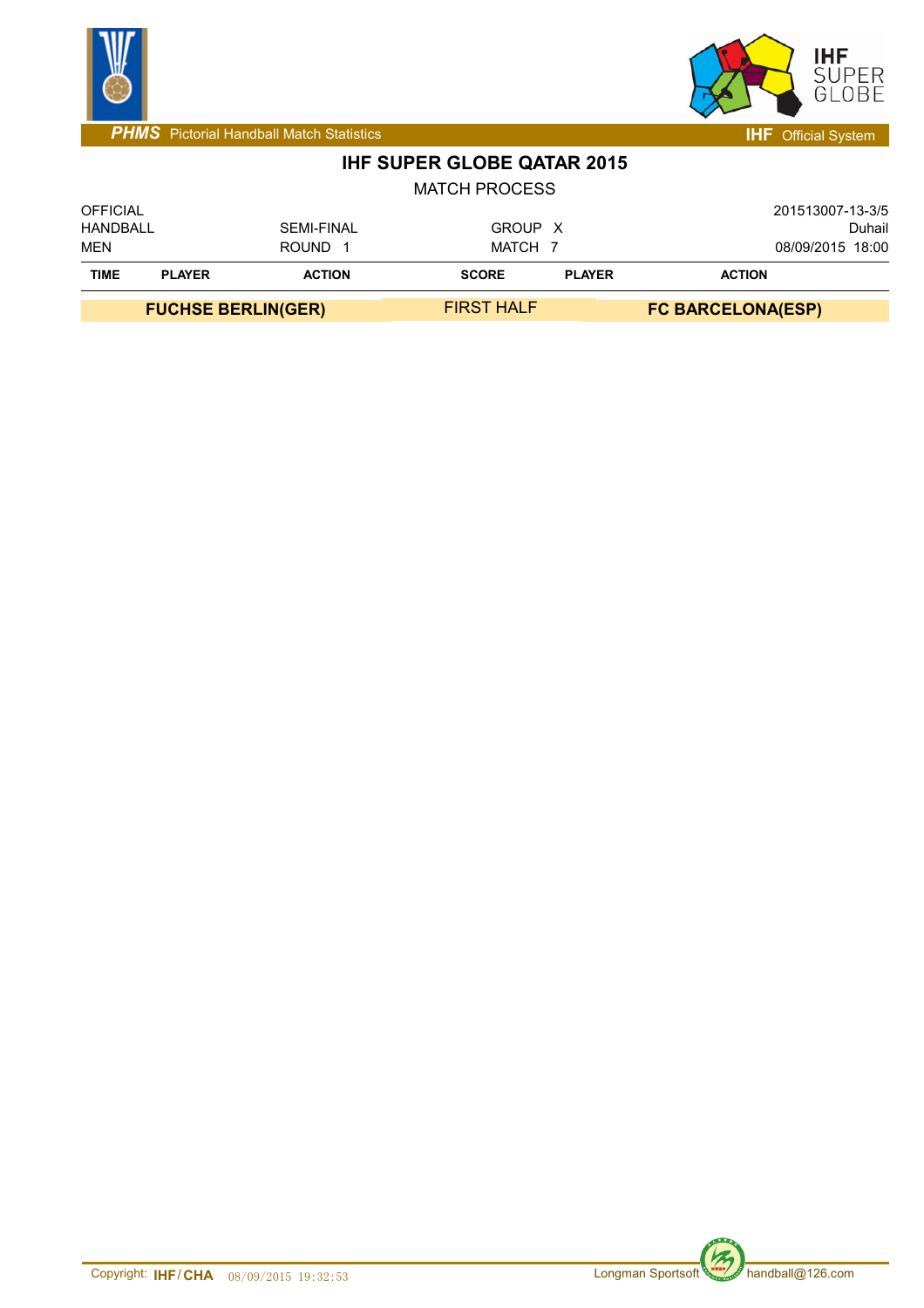



## **IHF SUPER GLOBE QATAR 2015**

|                             | <b>FUCHSE BERLIN(GER)</b> |                   | <b>FIRST HALF</b>    |               | <b>FC BARCELONA(ESP)</b>   |  |  |
|-----------------------------|---------------------------|-------------------|----------------------|---------------|----------------------------|--|--|
| <b>TIME</b>                 | <b>PLAYER</b>             | <b>ACTION</b>     | <b>SCORE</b>         | <b>PLAYER</b> | <b>ACTION</b>              |  |  |
| <b>MEN</b>                  |                           | <b>ROUND</b>      | MATCH 7              |               | 08/09/2015 18:00           |  |  |
| <b>OFFICIAL</b><br>HANDBALL |                           | <b>SEMI-FINAL</b> | GROUP X              |               | 201513007-13-3/5<br>Duhail |  |  |
|                             |                           |                   | <b>MATCH PROCESS</b> |               |                            |  |  |



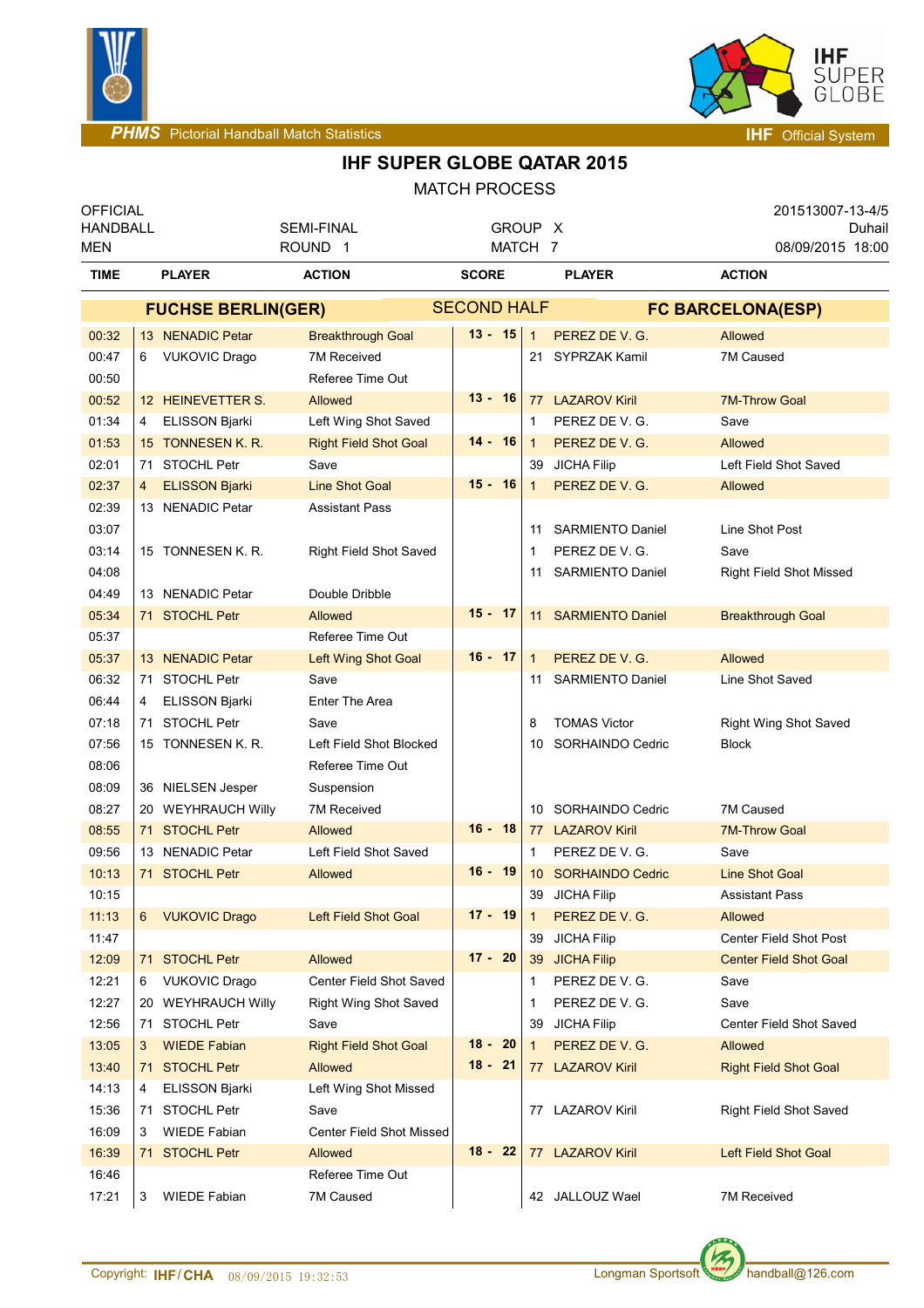



### **IHF SUPER GLOBE QATAR 2015**

| <b>OFFICIAL</b><br><b>HANDBALL</b><br><b>MEN</b> |                           | <b>SEMI-FINAL</b><br>ROUND <sub>1</sub> |                                 |              | GROUP X<br>MATCH 7 |              |                         | 201513007-13-4/5<br>Duhail<br>08/09/2015 18:00 |                                |  |  |
|--------------------------------------------------|---------------------------|-----------------------------------------|---------------------------------|--------------|--------------------|--------------|-------------------------|------------------------------------------------|--------------------------------|--|--|
| <b>TIME</b>                                      |                           | <b>PLAYER</b><br><b>ACTION</b>          |                                 | <b>SCORE</b> |                    |              | <b>PLAYER</b>           | <b>ACTION</b>                                  |                                |  |  |
|                                                  | <b>FUCHSE BERLIN(GER)</b> |                                         |                                 |              | <b>SECOND HALF</b> |              |                         | <b>FC BARCELONA(ESP)</b>                       |                                |  |  |
| 00:32                                            |                           | 13 NENADIC Petar                        | <b>Breakthrough Goal</b>        |              | $13 - 15$          | $\mathbf{1}$ | PEREZ DE V. G.          | Allowed                                        |                                |  |  |
| 00:47                                            | 6                         | <b>VUKOVIC Drago</b>                    | 7M Received                     |              |                    |              | 21 SYPRZAK Kamil        | 7M Caused                                      |                                |  |  |
| 00:50                                            |                           |                                         | Referee Time Out                |              |                    |              |                         |                                                |                                |  |  |
| 00:52                                            |                           | 12 HEINEVETTER S.                       | Allowed                         | $13 - 16$    |                    |              | 77 LAZAROV Kiril        |                                                | <b>7M-Throw Goal</b>           |  |  |
| 01:34                                            | 4                         | ELISSON Bjarki                          | Left Wing Shot Saved            |              |                    | 1            | PEREZ DE V. G.          | Save                                           |                                |  |  |
| 01:53                                            |                           | 15 TONNESEN K. R.                       | <b>Right Field Shot Goal</b>    | $14 - 16$    |                    | $\mathbf{1}$ | PEREZ DE V. G.          | Allowed                                        |                                |  |  |
| 02:01                                            |                           | 71 STOCHL Petr                          | Save                            |              |                    |              | 39 JICHA Filip          |                                                | Left Field Shot Saved          |  |  |
| 02:37                                            | 4                         | <b>ELISSON Bjarki</b>                   | <b>Line Shot Goal</b>           | $15 - 16$    |                    | $\mathbf{1}$ | PEREZ DE V. G.          | Allowed                                        |                                |  |  |
| 02:39                                            |                           | 13 NENADIC Petar                        | <b>Assistant Pass</b>           |              |                    |              |                         |                                                |                                |  |  |
| 03:07                                            |                           |                                         |                                 |              |                    | 11           | <b>SARMIENTO Daniel</b> |                                                | Line Shot Post                 |  |  |
| 03:14                                            |                           | 15 TONNESEN K. R.                       | <b>Right Field Shot Saved</b>   |              |                    | 1            | PEREZ DE V. G.          | Save                                           |                                |  |  |
| 04:08                                            |                           |                                         |                                 |              |                    | 11           | <b>SARMIENTO Daniel</b> |                                                | <b>Right Field Shot Missed</b> |  |  |
| 04:49                                            |                           | 13 NENADIC Petar                        | Double Dribble                  |              |                    |              |                         |                                                |                                |  |  |
| 05:34                                            |                           | 71 STOCHL Petr                          | <b>Allowed</b>                  | $15 - 17$    |                    |              | 11 SARMIENTO Daniel     |                                                | <b>Breakthrough Goal</b>       |  |  |
| 05:37                                            |                           |                                         | Referee Time Out                |              |                    |              |                         |                                                |                                |  |  |
| 05:37                                            |                           | 13 NENADIC Petar                        | Left Wing Shot Goal             | $16 - 17$    |                    | $\mathbf{1}$ | PEREZ DE V. G.          | Allowed                                        |                                |  |  |
| 06:32                                            |                           | 71 STOCHL Petr                          | Save                            |              |                    | 11           | <b>SARMIENTO Daniel</b> |                                                | Line Shot Saved                |  |  |
| 06:44                                            | 4                         | <b>ELISSON Bjarki</b>                   | <b>Enter The Area</b>           |              |                    |              |                         |                                                |                                |  |  |
| 07:18                                            |                           | 71 STOCHL Petr                          | Save                            |              |                    | 8            | <b>TOMAS Victor</b>     |                                                | Right Wing Shot Saved          |  |  |
| 07:56                                            |                           | 15 TONNESEN K. R.                       | Left Field Shot Blocked         |              |                    | 10           | SORHAINDO Cedric        | <b>Block</b>                                   |                                |  |  |
| 08:06                                            |                           |                                         | Referee Time Out                |              |                    |              |                         |                                                |                                |  |  |
| 08:09                                            |                           | 36 NIELSEN Jesper                       | Suspension                      |              |                    |              |                         |                                                |                                |  |  |
| 08:27                                            |                           | 20 WEYHRAUCH Willy                      | <b>7M Received</b>              |              |                    |              | 10 SORHAINDO Cedric     | 7M Caused                                      |                                |  |  |
| 08:55                                            |                           | 71 STOCHL Petr                          | Allowed                         | $16 - 18$    |                    |              | 77 LAZAROV Kiril        |                                                | <b>7M-Throw Goal</b>           |  |  |
| 09:56                                            |                           | 13 NENADIC Petar                        | Left Field Shot Saved           |              |                    | 1            | PEREZ DE V. G.          | Save                                           |                                |  |  |
| 10:13                                            |                           | 71 STOCHL Petr                          | Allowed                         | $16 - 19$    |                    |              | 10 SORHAINDO Cedric     |                                                | <b>Line Shot Goal</b>          |  |  |
| 10:15                                            |                           |                                         |                                 |              |                    |              | 39 JICHA Filip          |                                                | <b>Assistant Pass</b>          |  |  |
| 11:13                                            |                           | 6 VUKOVIC Drago                         | <b>Left Field Shot Goal</b>     | $17 - 19$    |                    | -1           | PEREZ DE V. G.          | Allowed                                        |                                |  |  |
| 11:47                                            |                           |                                         |                                 |              |                    | 39           | <b>JICHA Filip</b>      |                                                | Center Field Shot Post         |  |  |
| 12:09                                            |                           | 71 STOCHL Petr                          | Allowed                         | $17 - 20$    |                    |              | 39 JICHA Filip          |                                                | <b>Center Field Shot Goal</b>  |  |  |
| 12:21                                            | 6                         | <b>VUKOVIC Drago</b>                    | Center Field Shot Saved         |              |                    | 1            | PEREZ DE V. G.          | Save                                           |                                |  |  |
| 12:27                                            |                           | 20 WEYHRAUCH Willy                      | <b>Right Wing Shot Saved</b>    |              |                    | 1            | PEREZ DE V. G.          | Save                                           |                                |  |  |
| 12:56                                            |                           | 71 STOCHL Petr                          | Save                            |              |                    | 39           | <b>JICHA Filip</b>      |                                                | Center Field Shot Saved        |  |  |
| 13:05                                            | 3                         | <b>WIEDE Fabian</b>                     | <b>Right Field Shot Goal</b>    | $18 - 20$    |                    | $\mathbf{1}$ | PEREZ DE V. G.          | Allowed                                        |                                |  |  |
| 13:40                                            |                           | 71 STOCHL Petr                          | Allowed                         | $18 - 21$    |                    |              | 77 LAZAROV Kiril        |                                                | <b>Right Field Shot Goal</b>   |  |  |
| 14:13                                            | 4                         | <b>ELISSON Bjarki</b>                   | Left Wing Shot Missed           |              |                    |              |                         |                                                |                                |  |  |
| 15:36                                            |                           | 71 STOCHL Petr                          | Save                            |              |                    |              | 77 LAZAROV Kiril        |                                                | <b>Right Field Shot Saved</b>  |  |  |
| 16:09                                            | 3                         | <b>WIEDE Fabian</b>                     | <b>Center Field Shot Missed</b> |              |                    |              |                         |                                                |                                |  |  |
| 16:39                                            |                           | 71 STOCHL Petr                          | Allowed                         | $18 - 22$    |                    |              | 77 LAZAROV Kiril        |                                                | Left Field Shot Goal           |  |  |
| 16:46                                            |                           |                                         | Referee Time Out                |              |                    |              |                         |                                                |                                |  |  |
| 17:21                                            | 3                         | <b>WIEDE Fabian</b>                     | 7M Caused                       |              |                    |              | 42 JALLOUZ Wael         | 7M Received                                    |                                |  |  |